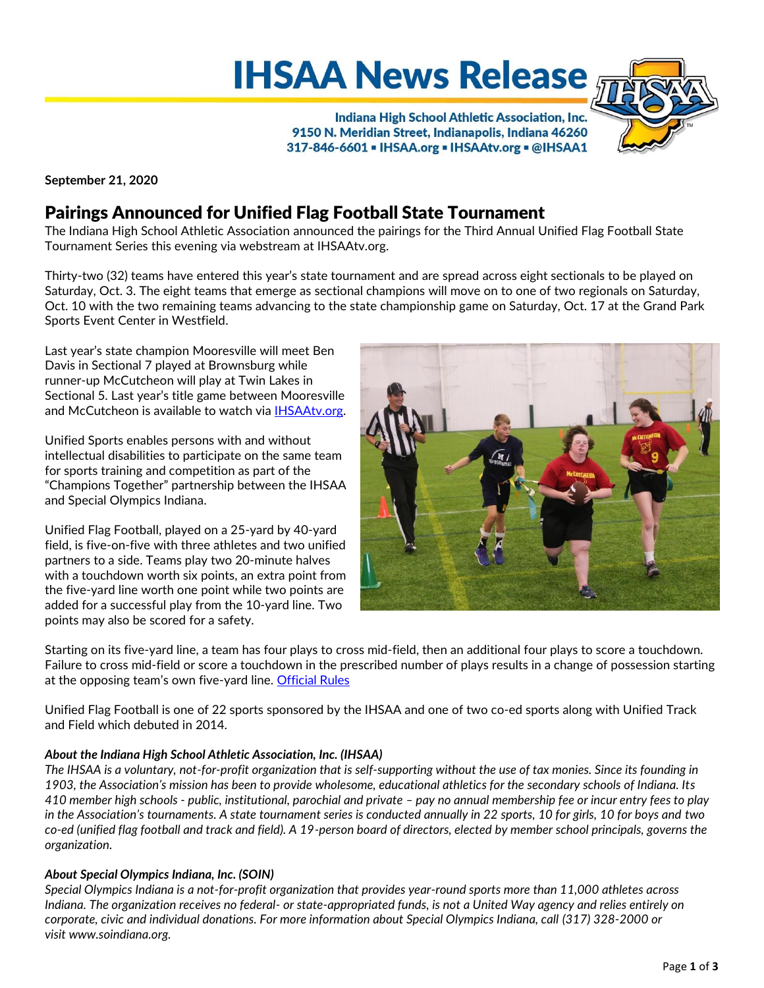**IHSAA News Release** 

Indiana High School Athletic Association, Inc. 9150 N. Meridian Street, Indianapolis, Indiana 46260 317-846-6601 - IHSAA.org - IHSAAtv.org - @IHSAA1

**September 21, 2020**

# Pairings Announced for Unified Flag Football State Tournament

The Indiana High School Athletic Association announced the pairings for the Third Annual Unified Flag Football State Tournament Series this evening via webstream at IHSAAtv.org.

Thirty-two (32) teams have entered this year's state tournament and are spread across eight sectionals to be played on Saturday, Oct. 3. The eight teams that emerge as sectional champions will move on to one of two regionals on Saturday, Oct. 10 with the two remaining teams advancing to the state championship game on Saturday, Oct. 17 at the Grand Park Sports Event Center in Westfield.

Last year's state champion Mooresville will meet Ben Davis in Sectional 7 played at Brownsburg while runner-up McCutcheon will play at Twin Lakes in Sectional 5. Last year's title game between Mooresville and McCutcheon is available to watch via [IHSAAtv.org.](https://www.ihsaatv.org/?B=144825)

Unified Sports enables persons with and without intellectual disabilities to participate on the same team for sports training and competition as part of the "Champions Together" partnership between the IHSAA and Special Olympics Indiana.

Unified Flag Football, played on a 25-yard by 40-yard field, is five-on-five with three athletes and two unified partners to a side. Teams play two 20-minute halves with a touchdown worth six points, an extra point from the five-yard line worth one point while two points are added for a successful play from the 10-yard line. Two points may also be scored for a safety.



Starting on its five-yard line, a team has four plays to cross mid-field, then an additional four plays to score a touchdown. Failure to cross mid-field or score a touchdown in the prescribed number of plays results in a change of possession starting at the opposing team's own five-yard line. [Official Rules](https://myihsaa-prod-ams.azurewebsites.net/api/resource-library/categories/47e119a6-9970-4a73-ba17-08d612e6af14/documents/e26b841d-9abf-4dcb-be2f-08d82cb8e69b/file)

Unified Flag Football is one of 22 sports sponsored by the IHSAA and one of two co-ed sports along with Unified Track and Field which debuted in 2014.

#### *About the Indiana High School Athletic Association, Inc. (IHSAA)*

*The IHSAA is a voluntary, not-for-profit organization that is self-supporting without the use of tax monies. Since its founding in 1903, the Association's mission has been to provide wholesome, educational athletics for the secondary schools of Indiana. Its 410 member high schools - public, institutional, parochial and private – pay no annual membership fee or incur entry fees to play in the Association's tournaments. A state tournament series is conducted annually in 22 sports, 10 for girls, 10 for boys and two co-ed (unified flag football and track and field). A 19-person board of directors, elected by member school principals, governs the organization.*

## *About Special Olympics Indiana, Inc. (SOIN)*

*Special Olympics Indiana is a not-for-profit organization that provides year-round sports more than 11,000 athletes across Indiana. The organization receives no federal- or state-appropriated funds, is not a United Way agency and relies entirely on corporate, civic and individual donations. For more information about Special Olympics Indiana, call [\(317\) 328-2000](tel:%28317%29%20328-2000) or visit [www.soindiana.org.](http://www.soindiana.org/)*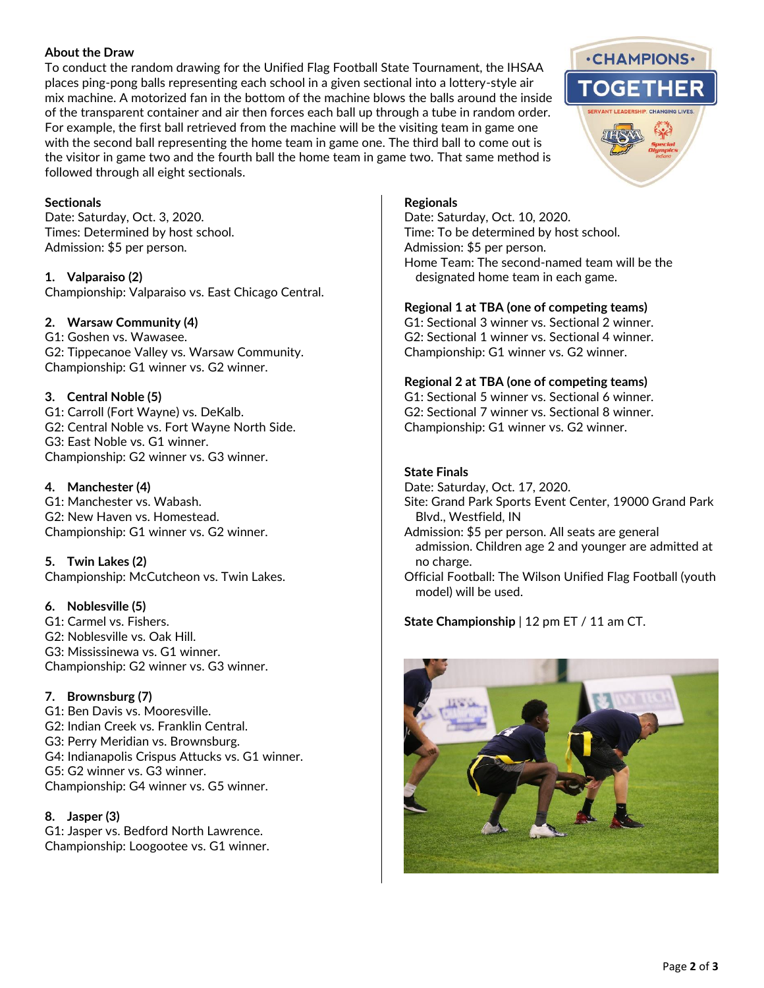#### **About the Draw**

To conduct the random drawing for the Unified Flag Football State Tournament, the IHSAA places ping-pong balls representing each school in a given sectional into a lottery-style air mix machine. A motorized fan in the bottom of the machine blows the balls around the inside of the transparent container and air then forces each ball up through a tube in random order. For example, the first ball retrieved from the machine will be the visiting team in game one with the second ball representing the home team in game one. The third ball to come out is the visitor in game two and the fourth ball the home team in game two. That same method is followed through all eight sectionals.

#### **Sectionals**

Date: Saturday, Oct. 3, 2020. Times: Determined by host school. Admission: \$5 per person.

**1. Valparaiso (2)** Championship: Valparaiso vs. East Chicago Central.

#### **2. Warsaw Community (4)**

G1: Goshen vs. Wawasee. G2: Tippecanoe Valley vs. Warsaw Community. Championship: G1 winner vs. G2 winner.

#### **3. Central Noble (5)**

G1: Carroll (Fort Wayne) vs. DeKalb. G2: Central Noble vs. Fort Wayne North Side. G3: East Noble vs. G1 winner. Championship: G2 winner vs. G3 winner.

#### **4. Manchester (4)**

G1: Manchester vs. Wabash. G2: New Haven vs. Homestead. Championship: G1 winner vs. G2 winner.

**5. Twin Lakes (2)** Championship: McCutcheon vs. Twin Lakes.

## **6. Noblesville (5)**

G1: Carmel vs. Fishers. G2: Noblesville vs. Oak Hill. G3: Mississinewa vs. G1 winner. Championship: G2 winner vs. G3 winner.

## **7. Brownsburg (7)**

G1: Ben Davis vs. Mooresville. G2: Indian Creek vs. Franklin Central. G3: Perry Meridian vs. Brownsburg. G4: Indianapolis Crispus Attucks vs. G1 winner. G5: G2 winner vs. G3 winner. Championship: G4 winner vs. G5 winner.

## **8. Jasper (3)**

G1: Jasper vs. Bedford North Lawrence. Championship: Loogootee vs. G1 winner.

## **Regionals**

Date: Saturday, Oct. 10, 2020. Time: To be determined by host school. Admission: \$5 per person. Home Team: The second-named team will be the designated home team in each game.

#### **Regional 1 at TBA (one of competing teams)**

G1: Sectional 3 winner vs. Sectional 2 winner. G2: Sectional 1 winner vs. Sectional 4 winner. Championship: G1 winner vs. G2 winner.

#### **Regional 2 at TBA (one of competing teams)**

G1: Sectional 5 winner vs. Sectional 6 winner. G2: Sectional 7 winner vs. Sectional 8 winner. Championship: G1 winner vs. G2 winner.

#### **State Finals**

Date: Saturday, Oct. 17, 2020. Site: Grand Park Sports Event Center, 19000 Grand Park Blvd., Westfield, IN Admission: \$5 per person. All seats are general admission. Children age 2 and younger are admitted at no charge. Official Football: The Wilson Unified Flag Football (youth

model) will be used.

**State Championship** | 12 pm ET / 11 am CT.